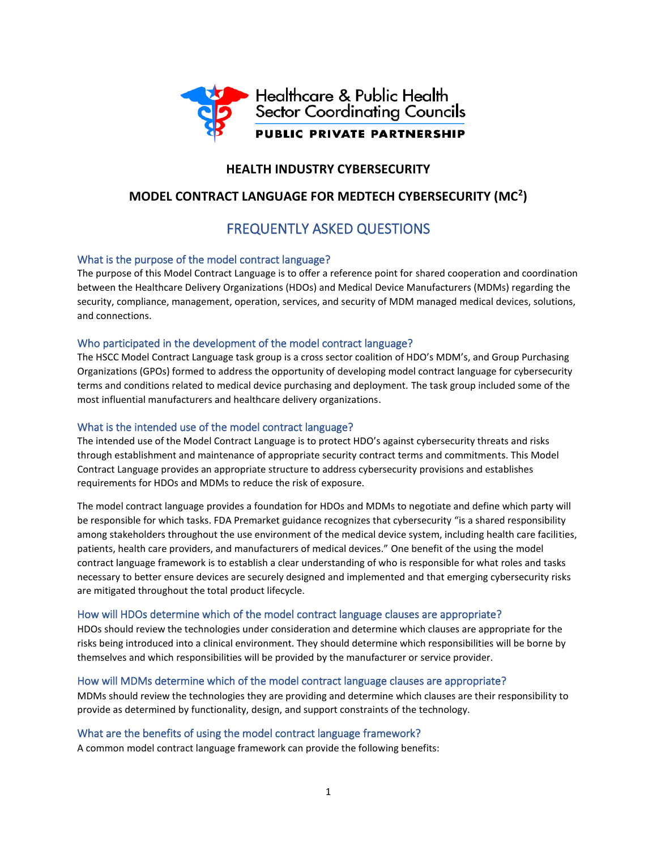

## **HEALTH INDUSTRY CYBERSECURITY**

## **MODEL CONTRACT LANGUAGE FOR MEDTECH CYBERSECURITY (MC<sup>2</sup> )**

# FREQUENTLY ASKED QUESTIONS

#### What is the purpose of the model contract language?

The purpose of this Model Contract Language is to offer a reference point for shared cooperation and coordination between the Healthcare Delivery Organizations (HDOs) and Medical Device Manufacturers (MDMs) regarding the security, compliance, management, operation, services, and security of MDM managed medical devices, solutions, and connections.

#### Who participated in the development of the model contract language?

The HSCC Model Contract Language task group is a cross sector coalition of HDO's MDM's, and Group Purchasing Organizations (GPOs) formed to address the opportunity of developing model contract language for cybersecurity terms and conditions related to medical device purchasing and deployment. The task group included some of the most influential manufacturers and healthcare delivery organizations.

#### What is the intended use of the model contract language?

The intended use of the Model Contract Language is to protect HDO's against cybersecurity threats and risks through establishment and maintenance of appropriate security contract terms and commitments. This Model Contract Language provides an appropriate structure to address cybersecurity provisions and establishes requirements for HDOs and MDMs to reduce the risk of exposure.

The model contract language provides a foundation for HDOs and MDMs to negotiate and define which party will be responsible for which tasks. FDA Premarket guidance recognizes that cybersecurity "is a shared responsibility among stakeholders throughout the use environment of the medical device system, including health care facilities, patients, health care providers, and manufacturers of medical devices." One benefit of the using the model contract language framework is to establish a clear understanding of who is responsible for what roles and tasks necessary to better ensure devices are securely designed and implemented and that emerging cybersecurity risks are mitigated throughout the total product lifecycle.

#### How will HDOs determine which of the model contract language clauses are appropriate?

HDOs should review the technologies under consideration and determine which clauses are appropriate for the risks being introduced into a clinical environment. They should determine which responsibilities will be borne by themselves and which responsibilities will be provided by the manufacturer or service provider.

#### How will MDMs determine which of the model contract language clauses are appropriate?

MDMs should review the technologies they are providing and determine which clauses are their responsibility to provide as determined by functionality, design, and support constraints of the technology.

#### What are the benefits of using the model contract language framework?

A common model contract language framework can provide the following benefits: